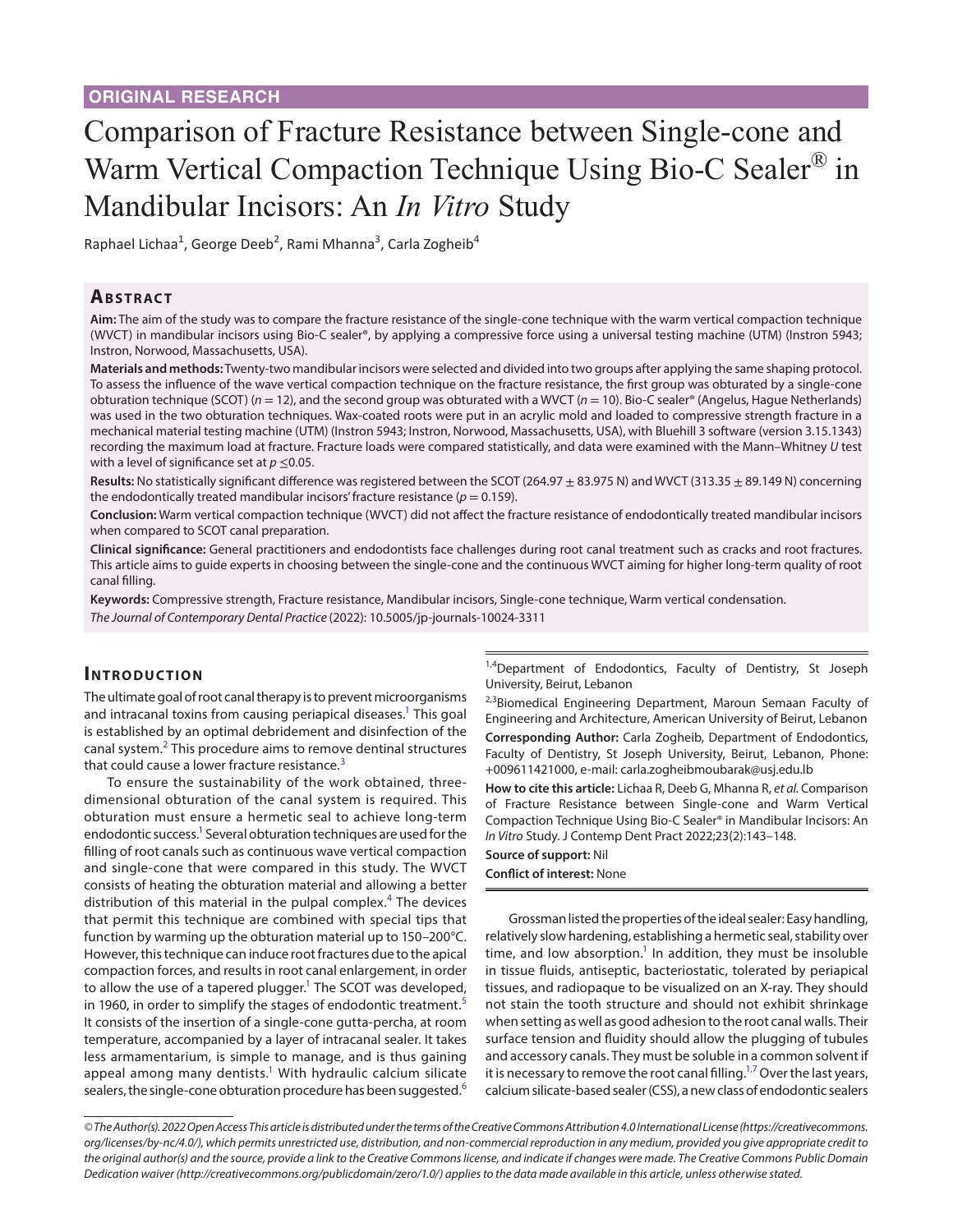# Comparison of Fracture Resistance between Single-cone and Warm Vertical Compaction Technique Using Bio-C Sealer<sup>®</sup> in Mandibular Incisors: An *In Vitro* Study

Raphael Lichaa<sup>1</sup>, George Deeb<sup>2</sup>, Rami Mhanna<sup>3</sup>, Carla Zogheib<sup>4</sup>

### **ABSTRACT**

**Aim:** The aim of the study was to compare the fracture resistance of the single-cone technique with the warm vertical compaction technique (WVCT) in mandibular incisors using Bio-C sealer®, by applying a compressive force using a universal testing machine (UTM) (Instron 5943; Instron, Norwood, Massachusetts, USA).

**Materials and methods:** Twenty-two mandibular incisors were selected and divided into two groups after applying the same shaping protocol. To assess the influence of the wave vertical compaction technique on the fracture resistance, the first group was obturated by a single-cone obturation technique (SCOT) (*n* = 12), and the second group was obturated with a WVCT (*n* = 10). Bio-C sealer® (Angelus, Hague Netherlands) was used in the two obturation techniques. Wax-coated roots were put in an acrylic mold and loaded to compressive strength fracture in a mechanical material testing machine (UTM) (Instron 5943; Instron, Norwood, Massachusetts, USA), with Bluehill 3 software (version 3.15.1343) recording the maximum load at fracture. Fracture loads were compared statistically, and data were examined with the Mann–Whitney *U* test with a level of significance set at  $p \leq 0.05$ .

Results: No statistically significant difference was registered between the SCOT (264.97  $\pm$  83.975 N) and WVCT (313.35  $\pm$  89.149 N) concerning the endodontically treated mandibular incisors' fracture resistance ( $p = 0.159$ ).

**Conclusion:** Warm vertical compaction technique (WVCT) did not affect the fracture resistance of endodontically treated mandibular incisors when compared to SCOT canal preparation.

**Clinical significance:** General practitioners and endodontists face challenges during root canal treatment such as cracks and root fractures. This article aims to guide experts in choosing between the single-cone and the continuous WVCT aiming for higher long-term quality of root canal filling.

**Keywords:** Compressive strength, Fracture resistance, Mandibular incisors, Single-cone technique, Warm vertical condensation. *The Journal of Contemporary Dental Practice* (2022): 10.5005/jp-journals-10024-3311

# **INTRODUCTION**

The ultimate goal of root canal therapy is to prevent microorganisms and intracanal toxins from causing periapical diseases.<sup>1</sup> This goal is established by an optimal debridement and disinfection of the canal system. $2$  This procedure aims to remove dentinal structures that could cause a lower fracture resistance.<sup>[3](#page-4-2)</sup>

To ensure the sustainability of the work obtained, threedimensional obturation of the canal system is required. This obturation must ensure a hermetic seal to achieve long-term endodontic success.<sup>1</sup> Several obturation techniques are used for the filling of root canals such as continuous wave vertical compaction and single-cone that were compared in this study. The WVCT consists of heating the obturation material and allowing a better distribution of this material in the pulpal complex.<sup>[4](#page-4-3)</sup> The devices that permit this technique are combined with special tips that function by warming up the obturation material up to 150–200°C. However, this technique can induce root fractures due to the apical compaction forces, and results in root canal enlargement, in order to allow the use of a tapered plugger.<sup>1</sup> The SCOT was developed, in 1960, in order to simplify the stages of endodontic treatment.<sup>[5](#page-4-4)</sup> It consists of the insertion of a single-cone gutta-percha, at room temperature, accompanied by a layer of intracanal sealer. It takes less armamentarium, is simple to manage, and is thus gaining appeal among many dentists.<sup>1</sup> With hydraulic calcium silicate sealers, the single-cone obturation procedure has been suggested.<sup>[6](#page-4-5)</sup>

<sup>1,4</sup>Department of Endodontics, Faculty of Dentistry, St Joseph University, Beirut, Lebanon

<sup>2,3</sup>Biomedical Engineering Department, Maroun Semaan Faculty of Engineering and Architecture, American University of Beirut, Lebanon **Corresponding Author:** Carla Zogheib, Department of Endodontics, Faculty of Dentistry, St Joseph University, Beirut, Lebanon, Phone: +009611421000, e-mail: carla.zogheibmoubarak@usj.edu.lb

**How to cite this article:** Lichaa R, Deeb G, Mhanna R, *et al.* Comparison of Fracture Resistance between Single-cone and Warm Vertical Compaction Technique Using Bio-C Sealer® in Mandibular Incisors: An *In Vitro* Study. J Contemp Dent Pract 2022;23(2):143–148.

#### **Source of support:** Nil **Conflict of interest:** None

Grossman listed the properties of the ideal sealer: Easy handling, relatively slow hardening, establishing a hermetic seal, stability over time, and low absorption.<sup>1</sup> In addition, they must be insoluble in tissue fluids, antiseptic, bacteriostatic, tolerated by periapical tissues, and radiopaque to be visualized on an X-ray. They should not stain the tooth structure and should not exhibit shrinkage when setting as well as good adhesion to the root canal walls. Their surface tension and fluidity should allow the plugging of tubules and accessory canals. They must be soluble in a common solvent if it is necessary to remove the root canal filling. $^{1,7}$  $^{1,7}$  $^{1,7}$  Over the last years, calcium silicate-based sealer (CSS), a new class of endodontic sealers

*<sup>©</sup> The Author(s). 2022 Open Access This article is distributed under the terms of the Creative Commons Attribution 4.0 International License ([https://creativecommons.](https://creativecommons.org/licenses/by-nc/4.0/) [org/licenses/by-nc/4.0/](https://creativecommons.org/licenses/by-nc/4.0/)), which permits unrestricted use, distribution, and non-commercial reproduction in any medium, provided you give appropriate credit to the original author(s) and the source, provide a link to the Creative Commons license, and indicate if changes were made. The Creative Commons Public Domain Dedication waiver ([http://creativecommons.org/publicdomain/zero/1.0/\)](http://creativecommons.org/publicdomain/zero/1.0/) applies to the data made available in this article, unless otherwise stated.*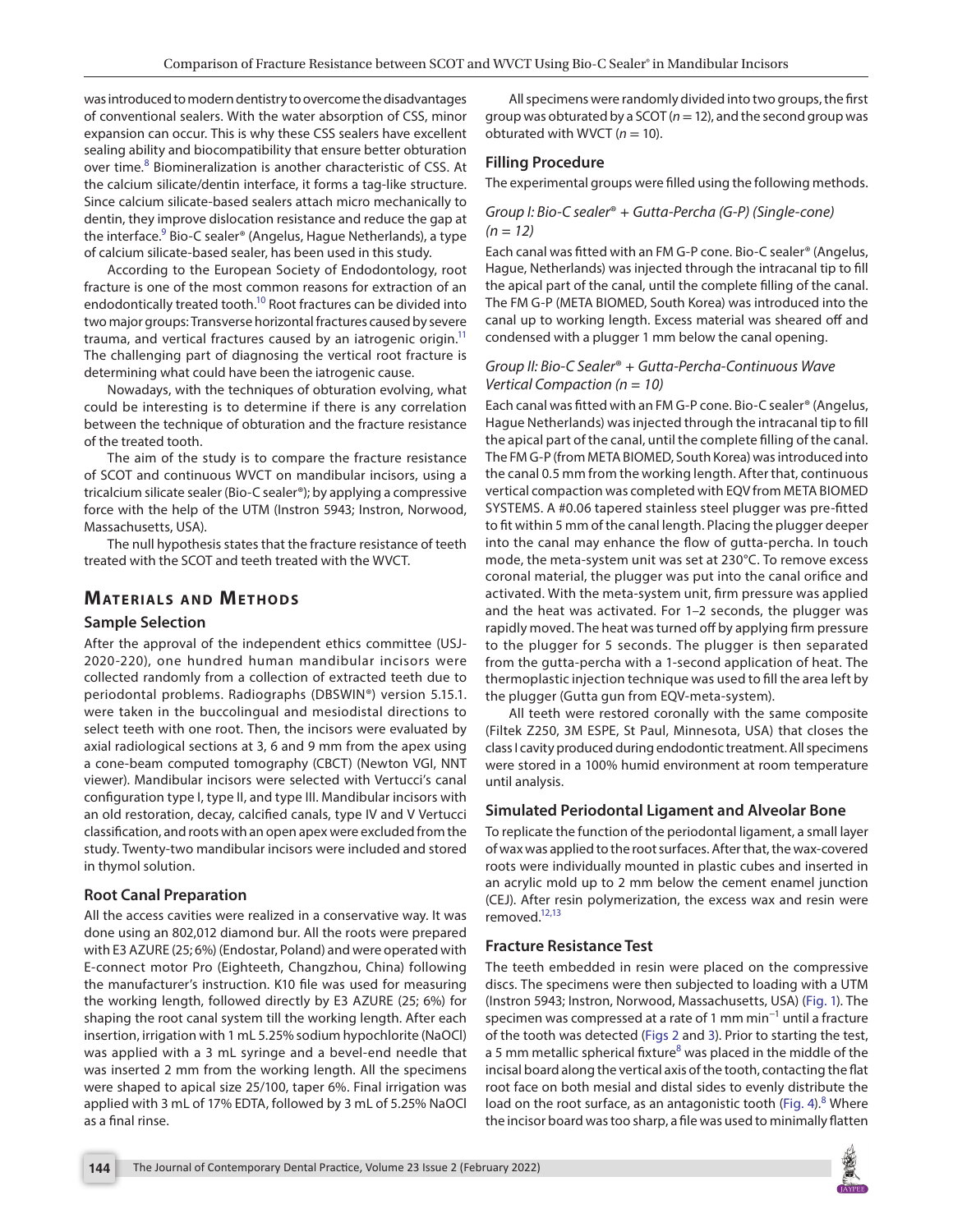was introduced to modern dentistry to overcome the disadvantages of conventional sealers. With the water absorption of CSS, minor expansion can occur. This is why these CSS sealers have excellent sealing ability and biocompatibility that ensure better obturation over time.<sup>[8](#page-4-7)</sup> Biomineralization is another characteristic of CSS. At the calcium silicate/dentin interface, it forms a tag-like structure. Since calcium silicate-based sealers attach micro mechanically to dentin, they improve dislocation resistance and reduce the gap at the interface.<sup>[9](#page-4-8)</sup> Bio-C sealer® (Angelus, Hague Netherlands), a type of calcium silicate-based sealer, has been used in this study.

According to the European Society of Endodontology, root fracture is one of the most common reasons for extraction of an endodontically treated tooth.<sup>10</sup> Root fractures can be divided into two major groups: Transverse horizontal fractures caused by severe trauma, and vertical fractures caused by an iatrogenic origin. $<sup>11</sup>$ </sup> The challenging part of diagnosing the vertical root fracture is determining what could have been the iatrogenic cause.

Nowadays, with the techniques of obturation evolving, what could be interesting is to determine if there is any correlation between the technique of obturation and the fracture resistance of the treated tooth.

The aim of the study is to compare the fracture resistance of SCOT and continuous WVCT on mandibular incisors, using a tricalcium silicate sealer (Bio-C sealer®); by applying a compressive force with the help of the UTM (Instron 5943; Instron, Norwood, Massachusetts, USA).

The null hypothesis states that the fracture resistance of teeth treated with the SCOT and teeth treated with the WVCT.

## **MATERIALS AND METHODS**

#### **Sample Selection**

After the approval of the independent ethics committee (USJ-2020-220), one hundred human mandibular incisors were collected randomly from a collection of extracted teeth due to periodontal problems. Radiographs (DBSWIN®) version 5.15.1. were taken in the buccolingual and mesiodistal directions to select teeth with one root. Then, the incisors were evaluated by axial radiological sections at 3, 6 and 9 mm from the apex using a cone-beam computed tomography (CBCT) (Newton VGI, NNT viewer). Mandibular incisors were selected with Vertucci's canal configuration type I, type II, and type III. Mandibular incisors with an old restoration, decay, calcified canals, type IV and V Vertucci classification, and roots with an open apex were excluded from the study. Twenty-two mandibular incisors were included and stored in thymol solution.

#### **Root Canal Preparation**

All the access cavities were realized in a conservative way. It was done using an 802,012 diamond bur. All the roots were prepared with E3 AZURE (25; 6%) (Endostar, Poland) and were operated with E-connect motor Pro (Eighteeth, Changzhou, China) following the manufacturer's instruction. K10 file was used for measuring the working length, followed directly by E3 AZURE (25; 6%) for shaping the root canal system till the working length. After each insertion, irrigation with 1 mL 5.25% sodium hypochlorite (NaOCl) was applied with a 3 mL syringe and a bevel-end needle that was inserted 2 mm from the working length. All the specimens were shaped to apical size 25/100, taper 6%. Final irrigation was applied with 3 mL of 17% EDTA, followed by 3 mL of 5.25% NaOCl as a final rinse.

All specimens were randomly divided into two groups, the first group was obturated by a SCOT (*n*= 12), and the second group was obturated with WVCT  $(n = 10)$ .

#### **Filling Procedure**

The experimental groups were filled using the following methods.

#### *Group I: Bio-C sealer*® *+ Gutta-Percha (G-P) (Single-cone) (n = 12)*

Each canal was fitted with an FM G-P cone. Bio-C sealer® (Angelus, Hague, Netherlands) was injected through the intracanal tip to fill the apical part of the canal, until the complete filling of the canal. The FM G-P (META BIOMED, South Korea) was introduced into the canal up to working length. Excess material was sheared off and condensed with a plugger 1 mm below the canal opening.

#### *Group II: Bio-C Sealer*® *+ Gutta-Percha-Continuous Wave Vertical Compaction (n = 10)*

Each canal was fitted with an FM G-P cone. Bio-C sealer® (Angelus, Hague Netherlands) was injected through the intracanal tip to fill the apical part of the canal, until the complete filling of the canal. The FM G-P (from META BIOMED, South Korea) was introduced into the canal 0.5 mm from the working length. After that, continuous vertical compaction was completed with EQV from META BIOMED SYSTEMS. A #0.06 tapered stainless steel plugger was pre-fitted to fit within 5 mm of the canal length. Placing the plugger deeper into the canal may enhance the flow of gutta-percha. In touch mode, the meta-system unit was set at 230°C. To remove excess coronal material, the plugger was put into the canal orifice and activated. With the meta-system unit, firm pressure was applied and the heat was activated. For 1–2 seconds, the plugger was rapidly moved. The heat was turned off by applying firm pressure to the plugger for 5 seconds. The plugger is then separated from the gutta-percha with a 1-second application of heat. The thermoplastic injection technique was used to fill the area left by the plugger (Gutta gun from EQV-meta-system).

All teeth were restored coronally with the same composite (Filtek Z250, 3M ESPE, St Paul, Minnesota, USA) that closes the class I cavity produced during endodontic treatment. All specimens were stored in a 100% humid environment at room temperature until analysis.

#### **Simulated Periodontal Ligament and Alveolar Bone**

To replicate the function of the periodontal ligament, a small layer of wax was applied to the root surfaces. After that, the wax-covered roots were individually mounted in plastic cubes and inserted in an acrylic mold up to 2 mm below the cement enamel junction (CEJ). After resin polymerization, the excess wax and resin were removed[.12,](#page-4-11)[13](#page-4-12)

#### **Fracture Resistance Test**

The teeth embedded in resin were placed on the compressive discs. The specimens were then subjected to loading with a UTM (Instron 5943; Instron, Norwood, Massachusetts, USA) [\(Fig. 1\)](#page-2-0). The specimen was compressed at a rate of 1 mm min<sup>-1</sup> until a fracture of the tooth was detected ([Figs 2](#page-2-1) and [3](#page-2-1)). Prior to starting the test, a 5 mm metallic spherical fixture<sup>[8](#page-4-7)</sup> was placed in the middle of the incisal board along the vertical axis of the tooth, contacting the flat root face on both mesial and distal sides to evenly distribute the load on the root surface, as an antagonistic tooth [\(Fig. 4](#page-2-2)).<sup>[8](#page-4-7)</sup> Where the incisor board was too sharp, a file was used to minimally flatten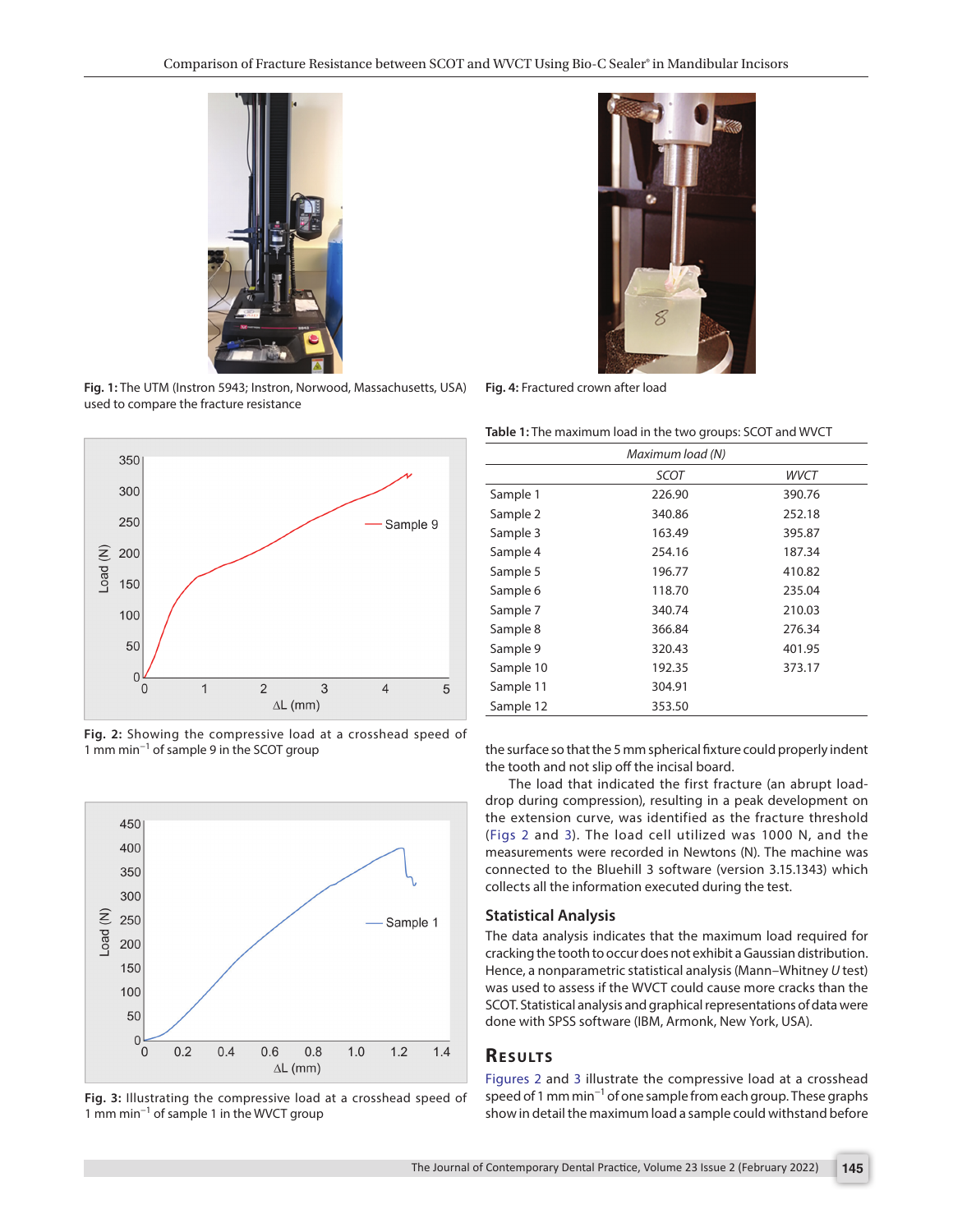

**Fig. 1:** The UTM (Instron 5943; Instron, Norwood, Massachusetts, USA) **Fig. 4:** Fractured crown after load used to compare the fracture resistance

<span id="page-2-0"></span>

<span id="page-2-1"></span>**Fig. 2:** Showing the compressive load at a crosshead speed of 1 mm min−1 of sample 9 in the SCOT group



**Fig. 3:** Illustrating the compressive load at a crosshead speed of 1 mm min−1 of sample 1 in the WVCT group



<span id="page-2-3"></span><span id="page-2-2"></span>

| Table 1: The maximum load in the two groups: SCOT and WVCT |  |  |
|------------------------------------------------------------|--|--|
|------------------------------------------------------------|--|--|

|           | Maximum load (N) |        |
|-----------|------------------|--------|
|           | <b>SCOT</b>      | WVCT   |
| Sample 1  | 226.90           | 390.76 |
| Sample 2  | 340.86           | 252.18 |
| Sample 3  | 163.49           | 395.87 |
| Sample 4  | 254.16           | 187.34 |
| Sample 5  | 196.77           | 410.82 |
| Sample 6  | 118.70           | 235.04 |
| Sample 7  | 340.74           | 210.03 |
| Sample 8  | 366.84           | 276.34 |
| Sample 9  | 320.43           | 401.95 |
| Sample 10 | 192.35           | 373.17 |
| Sample 11 | 304.91           |        |
| Sample 12 | 353.50           |        |

the surface so that the 5 mm spherical fixture could properly indent the tooth and not slip off the incisal board.

The load that indicated the first fracture (an abrupt loaddrop during compression), resulting in a peak development on the extension curve, was identified as the fracture threshold ([Figs 2](#page-2-1) and [3\)](#page-2-1). The load cell utilized was 1000 N, and the measurements were recorded in Newtons (N). The machine was connected to the Bluehill 3 software (version 3.15.1343) which collects all the information executed during the test.

#### **Statistical Analysis**

The data analysis indicates that the maximum load required for cracking the tooth to occur does not exhibit a Gaussian distribution. Hence, a nonparametric statistical analysis (Mann–Whitney *U* test) was used to assess if the WVCT could cause more cracks than the SCOT. Statistical analysis and graphical representations of data were done with SPSS software (IBM, Armonk, New York, USA).

## **Re s u lts**

[Figures 2](#page-2-1) and [3](#page-2-1) illustrate the compressive load at a crosshead speed of 1 mm min<sup>-1</sup> of one sample from each group. These graphs show in detail the maximum load a sample could withstand before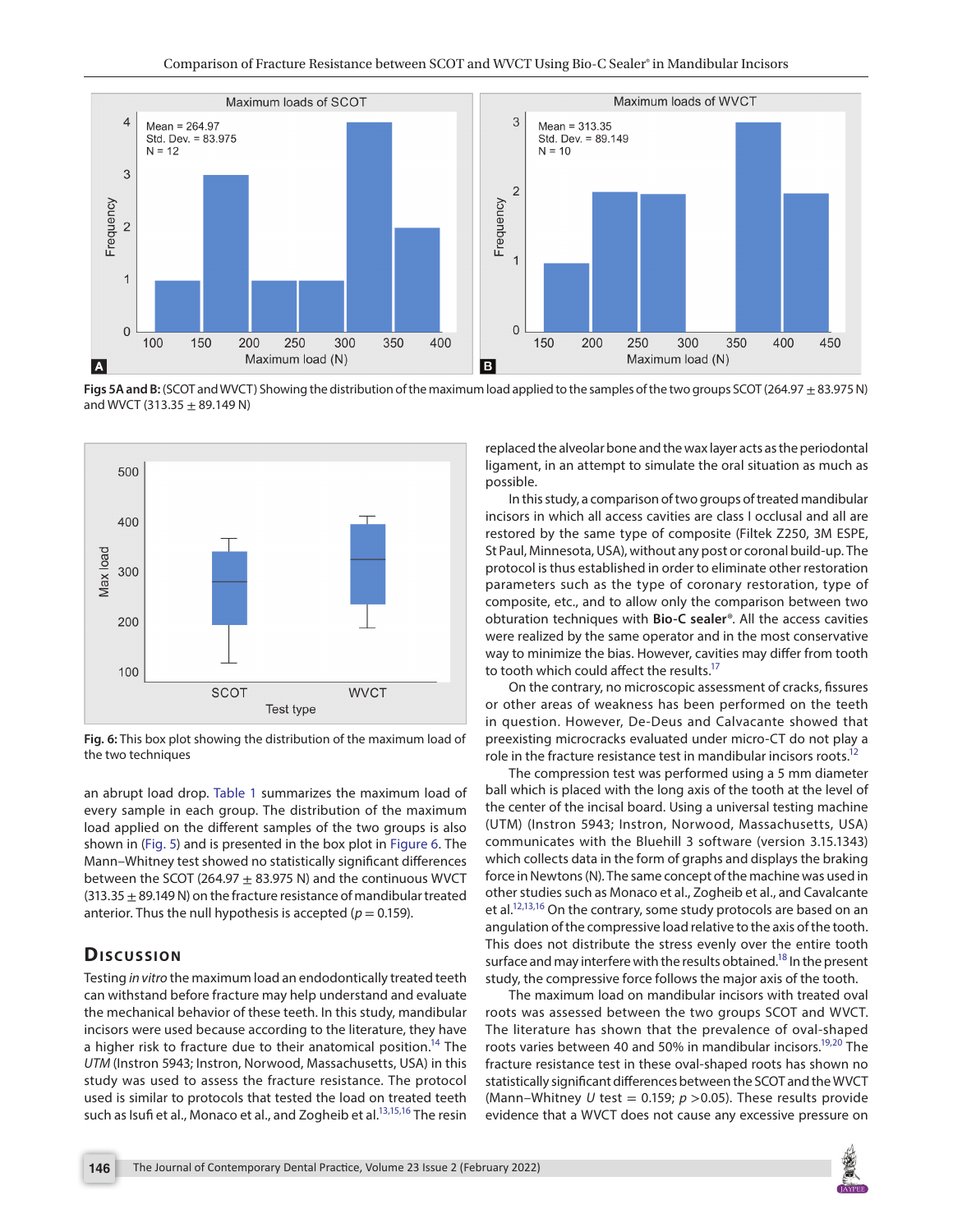

<span id="page-3-0"></span>**Figs 5A and B:** (SCOT and WVCT) Showing the distribution of the maximum load applied to the samples of the two groups SCOT (264.97 ± 83.975 N) and WVCT (313.35  $\pm$  89.149 N)



<span id="page-3-1"></span>**Fig. 6:** This box plot showing the distribution of the maximum load of the two techniques

an abrupt load drop. [Table 1](#page-2-3) summarizes the maximum load of every sample in each group. The distribution of the maximum load applied on the different samples of the two groups is also shown in [\(Fig. 5](#page-3-0)) and is presented in the box plot in [Figure 6.](#page-3-1) The Mann–Whitney test showed no statistically significant differences between the SCOT (264.97  $\pm$  83.975 N) and the continuous WVCT  $(313.35 \pm 89.149 \text{ N})$  on the fracture resistance of mandibular treated anterior. Thus the null hypothesis is accepted ( $p = 0.159$ ).

# **Dis c u s sio n**

Testing *in vitro* the maximum load an endodontically treated teeth can withstand before fracture may help understand and evaluate the mechanical behavior of these teeth. In this study, mandibular incisors were used because according to the literature, they have a higher risk to fracture due to their anatomical position.<sup>14</sup> The *UTM* (Instron 5943; Instron, Norwood, Massachusetts, USA) in this study was used to assess the fracture resistance. The protocol used is similar to protocols that tested the load on treated teeth such as Isufi et al., Monaco et al., and Zogheib et al.<sup>13[,15,](#page-4-14)[16](#page-4-15)</sup> The resin

replaced the alveolar bone and the wax layer acts as the periodontal ligament, in an attempt to simulate the oral situation as much as possible.

In this study, a comparison of two groups of treated mandibular incisors in which all access cavities are class I occlusal and all are restored by the same type of composite (Filtek Z250, 3M ESPE, St Paul, Minnesota, USA), without any post or coronal build-up. The protocol is thus established in order to eliminate other restoration parameters such as the type of coronary restoration, type of composite, etc., and to allow only the comparison between two obturation techniques with **Bio-C sealer**®. All the access cavities were realized by the same operator and in the most conservative way to minimize the bias. However, cavities may differ from tooth to tooth which could affect the results.<sup>17</sup>

On the contrary, no microscopic assessment of cracks, fissures or other areas of weakness has been performed on the teeth in question. However, De-Deus and Calvacante showed that preexisting microcracks evaluated under micro-CT do not play a role in the fracture resistance test in mandibular incisors roots.<sup>12</sup>

The compression test was performed using a 5 mm diameter ball which is placed with the long axis of the tooth at the level of the center of the incisal board. Using a universal testing machine (UTM) (Instron 5943; Instron, Norwood, Massachusetts, USA) communicates with the Bluehill 3 software (version 3.15.1343) which collects data in the form of graphs and displays the braking force in Newtons (N). The same concept of the machine was used in other studies such as Monaco et al., Zogheib et al., and Cavalcante et al.<sup>12,[13,](#page-4-12)[16](#page-4-15)</sup> On the contrary, some study protocols are based on an angulation of the compressive load relative to the axis of the tooth. This does not distribute the stress evenly over the entire tooth surface and may interfere with the results obtained.<sup>18</sup> In the present study, the compressive force follows the major axis of the tooth.

The maximum load on mandibular incisors with treated oval roots was assessed between the two groups SCOT and WVCT. The literature has shown that the prevalence of oval-shaped roots varies between 40 and 50% in mandibular incisors.<sup>19,[20](#page-5-3)</sup> The fracture resistance test in these oval-shaped roots has shown no statistically significant differences between the SCOT and the WVCT (Mann–Whitney *U* test = 0.159;  $p > 0.05$ ). These results provide evidence that a WVCT does not cause any excessive pressure on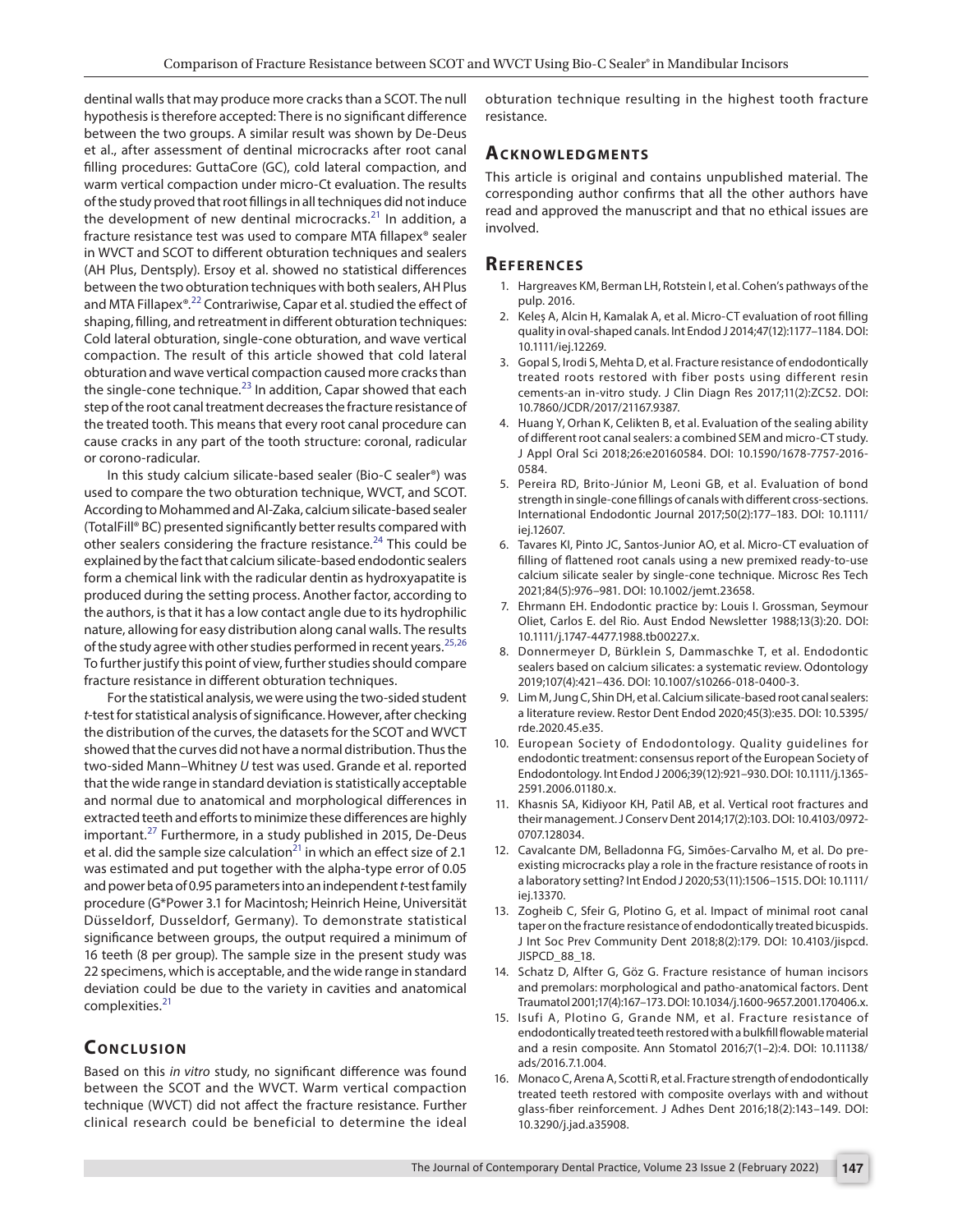dentinal walls that may produce more cracks than a SCOT. The null hypothesis is therefore accepted: There is no significant difference between the two groups. A similar result was shown by De-Deus et al., after assessment of dentinal microcracks after root canal filling procedures: GuttaCore (GC), cold lateral compaction, and warm vertical compaction under micro-Ct evaluation. The results of the study proved that root fillings in all techniques did not induce the development of new dentinal microcracks. $^{21}$  In addition, a fracture resistance test was used to compare MTA fillapex® sealer in WVCT and SCOT to different obturation techniques and sealers (AH Plus, Dentsply). Ersoy et al. showed no statistical differences between the two obturation techniques with both sealers, AH Plus and MTA Fillapex®.<sup>22</sup> Contrariwise, Capar et al. studied the effect of shaping, filling, and retreatment in different obturation techniques: Cold lateral obturation, single-cone obturation, and wave vertical compaction. The result of this article showed that cold lateral obturation and wave vertical compaction caused more cracks than the single-cone technique.<sup>23</sup> In addition, Capar showed that each step of the root canal treatment decreases the fracture resistance of the treated tooth. This means that every root canal procedure can cause cracks in any part of the tooth structure: coronal, radicular or corono-radicular.

In this study calcium silicate-based sealer (Bio-C sealer®) was used to compare the two obturation technique, WVCT, and SCOT. According to Mohammed and Al-Zaka, calcium silicate-based sealer (TotalFill® BC) presented significantly better results compared with other sealers considering the fracture resistance.<sup>[24](#page-5-7)</sup> This could be explained by the fact that calcium silicate-based endodontic sealers form a chemical link with the radicular dentin as hydroxyapatite is produced during the setting process. Another factor, according to the authors, is that it has a low contact angle due to its hydrophilic nature, allowing for easy distribution along canal walls. The results of the study agree with other studies performed in recent years.<sup>[25](#page-5-8),[26](#page-5-9)</sup> To further justify this point of view, further studies should compare fracture resistance in different obturation techniques.

For the statistical analysis, we were using the two-sided student *t*-test for statistical analysis of significance. However, after checking the distribution of the curves, the datasets for the SCOT and WVCT showed that the curves did not have a normal distribution. Thus the two-sided Mann–Whitney *U* test was used. Grande et al. reported that the wide range in standard deviation is statistically acceptable and normal due to anatomical and morphological differences in extracted teeth and efforts to minimize these differences are highly important.<sup>[27](#page-5-10)</sup> Furthermore, in a study published in 2015, De-Deus et al. did the sample size calculation<sup>21</sup> in which an effect size of 2.1 was estimated and put together with the alpha-type error of 0.05 and power beta of 0.95 parameters into an independent *t*-test family procedure (G\*Power 3.1 for Macintosh; Heinrich Heine, Universität Düsseldorf, Dusseldorf, Germany). To demonstrate statistical significance between groups, the output required a minimum of 16 teeth (8 per group). The sample size in the present study was 22 specimens, which is acceptable, and the wide range in standard deviation could be due to the variety in cavities and anatomical complexities.<sup>[21](#page-5-4)</sup>

# **CONCLUSION**

Based on this *in vitro* study, no significant difference was found between the SCOT and the WVCT. Warm vertical compaction technique (WVCT) did not affect the fracture resistance. Further clinical research could be beneficial to determine the ideal obturation technique resulting in the highest tooth fracture resistance.

## **ACKNOWLEDGMENTS**

This article is original and contains unpublished material. The corresponding author confirms that all the other authors have read and approved the manuscript and that no ethical issues are involved.

## **Re f e r e n c e s**

- <span id="page-4-0"></span>1. Hargreaves KM, Berman LH, Rotstein I, et al. Cohen's pathways of the pulp. 2016.
- <span id="page-4-1"></span>2. Keleş A, Alcin H, Kamalak A, et al. Micro-CT evaluation of root filling quality in oval‐shaped canals. Int Endod J 2014;47(12):1177–1184. DOI: 10.1111/iej.12269.
- <span id="page-4-2"></span>3. Gopal S, Irodi S, Mehta D, et al. Fracture resistance of endodontically treated roots restored with fiber posts using different resin cements-an in-vitro study. J Clin Diagn Res 2017;11(2):ZC52. DOI: 10.7860/JCDR/2017/21167.9387.
- <span id="page-4-3"></span>4. Huang Y, Orhan K, Celikten B, et al. Evaluation of the sealing ability of different root canal sealers: a combined SEM and micro-CT study. J Appl Oral Sci 2018;26:e20160584. DOI: 10.1590/1678-7757-2016- 0584.
- <span id="page-4-4"></span>5. Pereira RD, Brito‐Júnior M, Leoni GB, et al. Evaluation of bond strength in single‐cone fillings of canals with different cross‐sections. International Endodontic Journal 2017;50(2):177–183. DOI: 10.1111/ iej.12607.
- <span id="page-4-5"></span>6. Tavares KI, Pinto JC, Santos-Junior AO, et al. Micro-CT evaluation of filling of flattened root canals using a new premixed ready‐to‐use calcium silicate sealer by single‐cone technique. Microsc Res Tech 2021;84(5):976–981. DOI: 10.1002/jemt.23658.
- <span id="page-4-6"></span>7. Ehrmann EH. Endodontic practice by: Louis I. Grossman, Seymour Oliet, Carlos E. del Rio. Aust Endod Newsletter 1988;13(3):20. DOI: 10.1111/j.1747-4477.1988.tb00227.x.
- <span id="page-4-7"></span>8. Donnermeyer D, Bürklein S, Dammaschke T, et al. Endodontic sealers based on calcium silicates: a systematic review. Odontology 2019;107(4):421–436. DOI: 10.1007/s10266-018-0400-3.
- <span id="page-4-8"></span>9. Lim M, Jung C, Shin DH, et al. Calcium silicate-based root canal sealers: a literature review. Restor Dent Endod 2020;45(3):e35. DOI: 10.5395/ rde.2020.45.e35.
- <span id="page-4-9"></span>10. European Society of Endodontology. Quality guidelines for endodontic treatment: consensus report of the European Society of Endodontology. Int Endod J 2006;39(12):921–930. DOI: 10.1111/j.1365- 2591.2006.01180.x.
- <span id="page-4-10"></span>11. Khasnis SA, Kidiyoor KH, Patil AB, et al. Vertical root fractures and their management. J Conserv Dent 2014;17(2):103. DOI: 10.4103/0972- 0707.128034.
- <span id="page-4-11"></span>12. Cavalcante DM, Belladonna FG, Simões-Carvalho M, et al. Do preexisting microcracks play a role in the fracture resistance of roots in a laboratory setting? Int Endod J 2020;53(11):1506–1515. DOI: 10.1111/ iej.13370.
- <span id="page-4-12"></span>13. Zogheib C, Sfeir G, Plotino G, et al. Impact of minimal root canal taper on the fracture resistance of endodontically treated bicuspids. J Int Soc Prev Community Dent 2018;8(2):179. DOI: 10.4103/jispcd. JISPCD\_88\_18.
- <span id="page-4-13"></span>14. Schatz D, Alfter G, Göz G. Fracture resistance of human incisors and premolars: morphological and patho‐anatomical factors. Dent Traumatol 2001;17(4):167–173. DOI: 10.1034/j.1600-9657.2001.170406.x.
- <span id="page-4-14"></span>15. Isufi A, Plotino G, Grande NM, et al. Fracture resistance of endodontically treated teeth restored with a bulkfill flowable material and a resin composite. Ann Stomatol 2016;7(1–2):4. DOI: 10.11138/ ads/2016.7.1.004.
- <span id="page-4-15"></span>16. Monaco C, Arena A, Scotti R, et al. Fracture strength of endodontically treated teeth restored with composite overlays with and without glass-fiber reinforcement. J Adhes Dent 2016;18(2):143–149. DOI: 10.3290/j.jad.a35908.